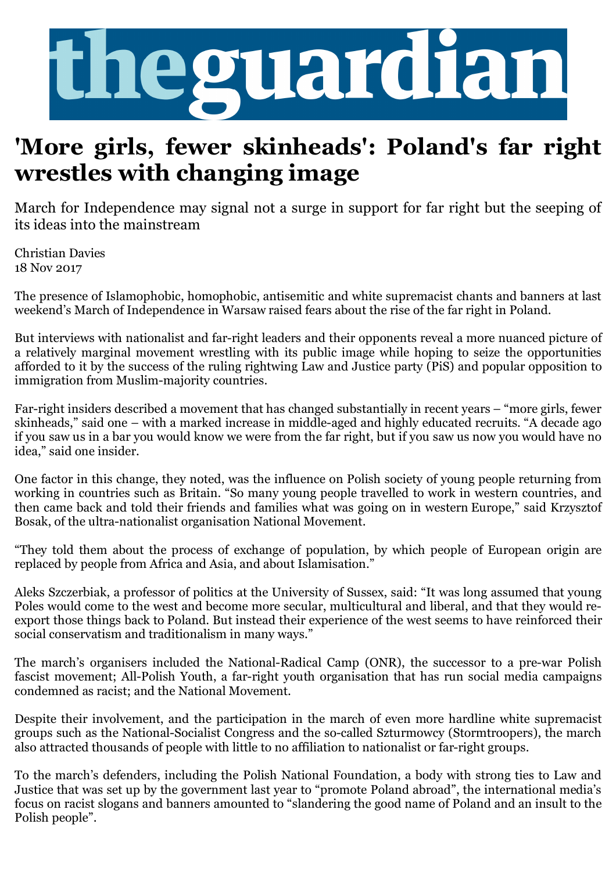

## **'More girls, fewer skinheads': Poland's far right wrestles with changing image**

March for Independence may signal not a surge in support for far right but the seeping of its ideas into the mainstream

Christian Davies 18 Nov 2017

The presence of Islamophobic, homophobic, antisemitic and white supremacist chants and banners at last weekend's March of Independence in Warsaw raised fears about the rise of the far right in Poland.

But interviews with nationalist and far-right leaders and their opponents reveal a more nuanced picture of a relatively marginal movement wrestling with its public image while hoping to seize the opportunities afforded to it by the success of the ruling rightwing Law and Justice party (PiS) and popular opposition to immigration from Muslim-majority countries.

Far-right insiders described a movement that has changed substantially in recent years – "more girls, fewer skinheads," said one – with a marked increase in middle-aged and highly educated recruits. "A decade ago if you saw us in a bar you would know we were from the far right, but if you saw us now you would have no idea," said one insider.

One factor in this change, they noted, was the influence on Polish society of young people returning from working in countries such as Britain. "So many young people travelled to work in western countries, and then came back and told their friends and families what was going on in western Europe," said Krzysztof Bosak, of the ultra-nationalist organisation National Movement.

"They told them about the process of exchange of population, by which people of European origin are replaced by people from Africa and Asia, and about Islamisation."

Aleks Szczerbiak, a professor of politics at the University of Sussex, said: "It was long assumed that young Poles would come to the west and become more secular, multicultural and liberal, and that they would reexport those things back to Poland. But instead their experience of the west seems to have reinforced their social conservatism and traditionalism in many ways."

The march's organisers included the National-Radical Camp (ONR), the successor to a pre-war Polish fascist movement; All-Polish Youth, a far-right youth organisation that has run social media campaigns condemned as racist; and the National Movement.

Despite their involvement, and the participation in the march of even more hardline white supremacist groups such as the National-Socialist Congress and the so-called Szturmowcy (Stormtroopers), the march also attracted thousands of people with little to no affiliation to nationalist or far-right groups.

To the march's defenders, including the Polish National Foundation, a body with strong ties to Law and Justice that was set up by the government last year to "promote Poland abroad", the international media's focus on racist slogans and banners amounted to "slandering the good name of Poland and an insult to the Polish people".